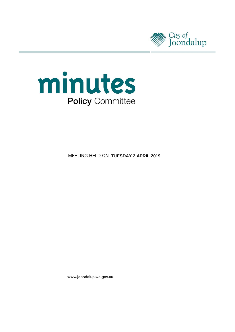



**MEETING HELD ON TUESDAY 2 APRIL 2019** 

www.joondalup.wa.gov.au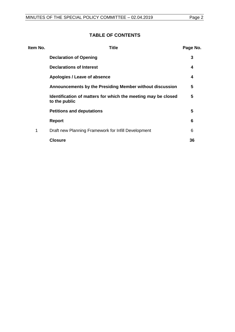# **TABLE OF CONTENTS**

| Item No. | <b>Title</b>                                                                   | Page No. |
|----------|--------------------------------------------------------------------------------|----------|
|          | <b>Declaration of Opening</b>                                                  | 3        |
|          | <b>Declarations of Interest</b>                                                | 4        |
|          | Apologies / Leave of absence                                                   | 4        |
|          | Announcements by the Presiding Member without discussion                       | 5        |
|          | Identification of matters for which the meeting may be closed<br>to the public | 5        |
|          | <b>Petitions and deputations</b>                                               | 5        |
|          | <b>Report</b>                                                                  | 6        |
| 1        | Draft new Planning Framework for Infill Development                            | 6        |
|          | <b>Closure</b>                                                                 | 36       |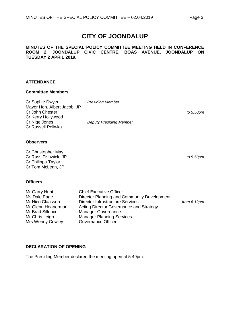## **CITY OF JOONDALUP**

## **MINUTES OF THE SPECIAL POLICY COMMITTEE MEETING HELD IN CONFERENCE ROOM 2, JOONDALUP CIVIC CENTRE, BOAS AVENUE, JOONDALUP ON TUESDAY 2 APRIL 2019.**

## **ATTENDANCE**

## **Committee Members**

| Cr Sophie Dwyer             | <b>Presiding Member</b>        |           |
|-----------------------------|--------------------------------|-----------|
| Mayor Hon. Albert Jacob, JP |                                |           |
| Cr John Chester             |                                | to 5.50pm |
| Cr Kerry Hollywood          |                                |           |
| Cr Nige Jones               | <b>Deputy Presiding Member</b> |           |
| Cr Russell Poliwka          |                                |           |
|                             |                                |           |

## **Observers**

Cr Christopher May Cr Russ Fishwick, JP *to 5.50pm* Cr Philippa Taylor Cr Tom McLean, JP

## **Officers**

| Mr Garry Hunt      | <b>Chief Executive Officer</b>              |                       |
|--------------------|---------------------------------------------|-----------------------|
| Ms Dale Page       | Director Planning and Community Development |                       |
| Mr Nico Claassen   | <b>Director Infrastructure Services</b>     | from $6.12 \text{pm}$ |
| Mr Glenn Heaperman | Acting Director Governance and Strategy     |                       |
| Mr Brad Sillence   | <b>Manager Governance</b>                   |                       |
| Mr Chris Leigh     | <b>Manager Planning Services</b>            |                       |
| Mrs Wendy Cowley   | <b>Governance Officer</b>                   |                       |

## <span id="page-2-0"></span>**DECLARATION OF OPENING**

The Presiding Member declared the meeting open at 5.49pm.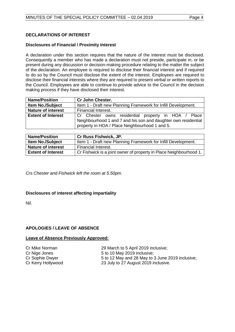## <span id="page-3-0"></span>**DECLARATIONS OF INTEREST**

#### **Disclosures of Financial / Proximity Interest**

A declaration under this section requires that the nature of the interest must be disclosed. Consequently a member who has made a declaration must not preside, participate in, or be present during any discussion or decision-making procedure relating to the matter the subject of the declaration. An employee is required to disclose their financial interest and if required to do so by the Council must disclose the extent of the interest. Employees are required to disclose their financial interests where they are required to present verbal or written reports to the Council. Employees are able to continue to provide advice to the Council in the decision making process if they have disclosed their interest.

| <b>Name/Position</b>      | <b>Cr John Chester.</b>                                                                                                                                                 |  |  |
|---------------------------|-------------------------------------------------------------------------------------------------------------------------------------------------------------------------|--|--|
| <b>Item No./Subject</b>   | Item 1 - Draft new Planning Framework for Infill Development.                                                                                                           |  |  |
| <b>Nature of interest</b> | Financial Interest.                                                                                                                                                     |  |  |
| <b>Extent of Interest</b> | Cr Chester owns residential property in HOA / Place<br>Neighbourhood 1 and 7 and his son and daughter own residential<br>property in HOA / Place Neighbourhood 1 and 5. |  |  |

| <b>Name/Position</b>      | <b>Cr Russ Fishwick, JP.</b>                                       |
|---------------------------|--------------------------------------------------------------------|
| <b>Item No./Subject</b>   | Item 1 - Draft new Planning Framework for Infill Development.      |
| <b>Nature of interest</b> | <b>Financial Interest.</b>                                         |
| <b>Extent of Interest</b> | Cr Fishwick is a joint owner of property in Place Neighbourhood 1. |

*Crs Chester and Fishwick left the room at 5.50pm.*

## **Disclosures of interest affecting impartiality**

Nil.

## <span id="page-3-1"></span>**APOLOGIES / LEAVE OF ABSENCE**

#### **Leave of Absence Previously Approved:**

Cr Mike Norman 29 March to 5 April 2019 inclusive;<br>
Cr Nige Jones 25 to 10 May 2019 inclusive: 5 to 10 May 2019 inclusive; Cr Sophie Dwyer 5 to 12 May and 28 May to 3 June 2019 inclusive; Cr Kerry Hollywood 23 July to 27 August 2019 inclusive.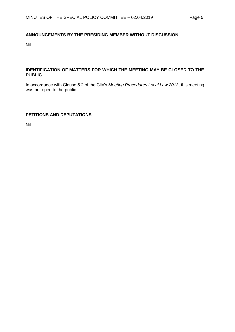## <span id="page-4-0"></span>**ANNOUNCEMENTS BY THE PRESIDING MEMBER WITHOUT DISCUSSION**

Nil.

## <span id="page-4-1"></span>**IDENTIFICATION OF MATTERS FOR WHICH THE MEETING MAY BE CLOSED TO THE PUBLIC**

In accordance with Clause 5.2 of the City's *Meeting Procedures Local Law 2013*, this meeting was not open to the public.

## <span id="page-4-2"></span>**PETITIONS AND DEPUTATIONS**

Nil.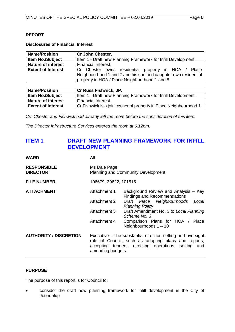## <span id="page-5-0"></span>**REPORT**

## **Disclosures of Financial Interest**

| <b>Name/Position</b>      | <b>Cr John Chester.</b>                                                                                                                                                 |  |  |  |
|---------------------------|-------------------------------------------------------------------------------------------------------------------------------------------------------------------------|--|--|--|
| <b>Item No./Subject</b>   | Item 1 - Draft new Planning Framework for Infill Development.                                                                                                           |  |  |  |
| <b>Nature of interest</b> | Financial Interest.                                                                                                                                                     |  |  |  |
| <b>Extent of Interest</b> | Cr Chester owns residential property in HOA / Place<br>Neighbourhood 1 and 7 and his son and daughter own residential<br>property in HOA / Place Neighbourhood 1 and 5. |  |  |  |

| <b>Name/Position</b>      | <b>Cr Russ Fishwick, JP.</b>                                       |
|---------------------------|--------------------------------------------------------------------|
| <b>Item No./Subject</b>   | Item 1 - Draft new Planning Framework for Infill Development.      |
| <b>Nature of interest</b> | Financial Interest.                                                |
| <b>Extent of Interest</b> | Cr Fishwick is a joint owner of property in Place Neighbourhood 1. |

*Crs Chester and Fishwick had already left the room before the consideration of this item.*

*The Director Infrastructure Services entered the room at 6.12pm.*

## <span id="page-5-1"></span>**ITEM 1 DRAFT NEW PLANNING FRAMEWORK FOR INFILL DEVELOPMENT**

| <b>WARD</b>                           | All                                                                                                                                                                                              |                                                                             |  |
|---------------------------------------|--------------------------------------------------------------------------------------------------------------------------------------------------------------------------------------------------|-----------------------------------------------------------------------------|--|
| <b>RESPONSIBLE</b><br><b>DIRECTOR</b> | Ms Dale Page<br><b>Planning and Community Development</b>                                                                                                                                        |                                                                             |  |
| <b>FILE NUMBER</b>                    | 106679, 30622, 101515                                                                                                                                                                            |                                                                             |  |
| <b>ATTACHMENT</b>                     | Attachment 1                                                                                                                                                                                     | Background Review and Analysis - Key<br><b>Findings and Recommendations</b> |  |
|                                       | <b>Attachment 2</b>                                                                                                                                                                              | Draft Place Neighbourhoods<br>Local<br><b>Planning Policy</b>               |  |
|                                       | Attachment 3                                                                                                                                                                                     | Draft Amendment No. 3 to Local Planning<br>Scheme No. 3                     |  |
|                                       | Attachment 4                                                                                                                                                                                     | Comparison Plans for HOA / Place<br>Neighbourhoods $1 - 10$                 |  |
| <b>AUTHORITY / DISCRETION</b>         | Executive - The substantial direction setting and oversight<br>role of Council, such as adopting plans and reports,<br>accepting tenders, directing operations, setting and<br>amending budgets. |                                                                             |  |

## **PURPOSE**

The purpose of this report is for Council to:

• consider the draft new planning framework for infill development in the City of Joondalup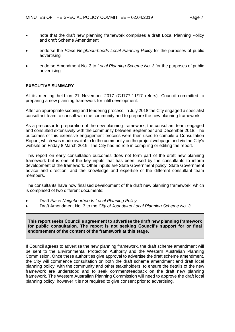- note that the draft new planning framework comprises a draft Local Planning Policy and draft Scheme Amendment
- endorse the *Place Neighbourhoods Local Planning Policy* for the purposes of public advertising
- endorse Amendment No. 3 to *Local Planning Scheme No. 3* for the purposes of public advertising

## **EXECUTIVE SUMMARY**

At its meeting held on 21 November 2017 (CJ177-11/17 refers), Council committed to preparing a new planning framework for infill development.

After an appropriate scoping and tendering process, in July 2018 the City engaged a specialist consultant team to consult with the community and to prepare the new planning framework.

As a precursor to preparation of the new planning framework, the consultant team engaged and consulted extensively with the community between September and December 2018. The outcomes of this extensive engagement process were then used to compile a Consultation Report, which was made available to the community on the project webpage and via the City's website on Friday 8 March 2019. The City had no role in compiling or editing the report.

This report on early consultation outcomes does not form part of the draft new planning framework but is one of the key inputs that has been used by the consultants to inform development of the framework. Other inputs are State Government policy, State Government advice and direction, and the knowledge and expertise of the different consultant team members.

The consultants have now finalised development of the draft new planning framework, which is comprised of two different documents:

- Draft *Place Neighbourhoods Local Planning Policy.*
- Draft Amendment No. 3 to the *City of Joondalup Local Planning Scheme No. 3.*

**This report seeks Council's agreement to advertise the draft new planning framework for public consultation. The report is not seeking Council's support for or final endorsement of the content of the framework at this stage.** 

If Council agrees to advertise the new planning framework, the draft scheme amendment will be sent to the Environmental Protection Authority and the Western Australian Planning Commission. Once these authorities give approval to advertise the draft scheme amendment, the City will commence consultation on both the draft scheme amendment and draft local planning policy, with the community and other stakeholders, to ensure the details of the new framework are understood and to seek comment/feedback on the draft new planning framework. The Western Australian Planning Commission will need to approve the draft local planning policy, however it is not required to give consent prior to advertising.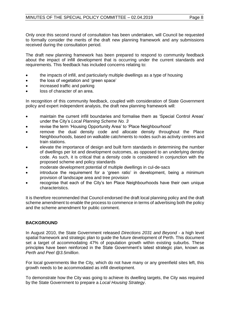Only once this second round of consultation has been undertaken, will Council be requested to formally consider the merits of the draft new planning framework and any submissions received during the consultation period.

The draft new planning framework has been prepared to respond to community feedback about the impact of infill development that is occurring under the current standards and requirements. This feedback has included concerns relating to:

- the impacts of infill, and particularly multiple dwellings as a type of housing
- the loss of vegetation and 'green space'
- increased traffic and parking
- loss of character of an area.

In recognition of this community feedback, coupled with consideration of State Government policy and expert independent analysis, the draft new planning framework will:

- maintain the current infill boundaries and formalise them as 'Special Control Areas' under the City's *Local Planning Scheme No. 3*
- revise the term 'Housing Opportunity Area' to 'Place Neighbourhood'
- remove the dual density code and allocate density throughout the Place Neighbourhoods, based on walkable catchments to nodes such as activity centres and train stations.
- elevate the importance of design and built form standards in determining the number of dwellings per lot and development outcomes, as opposed to an underlying density code. As such, it is critical that a density code is considered in conjunction with the proposed scheme and policy standards
- moderate development potential of multiple dwellings in cul-de-sacs
- introduce the requirement for a 'green ratio' in development, being a minimum provision of landscape area and tree provision
- recognise that each of the City's ten Place Neighbourhoods have their own unique characteristics.

It is therefore recommended that Council endorsed the draft local planning policy and the draft scheme amendment to enable the process to commence in terms of advertising both the policy and the scheme amendment for public comment.

## **BACKGROUND**

In August 2010, the State Government released *Directions 2031 and Beyond -* a high level spatial framework and strategic plan to guide the future development of Perth. This document set a target of accommodating 47% of population growth within existing suburbs. These principles have been reinforced in the State Government's latest strategic plan, known as *Perth and Peel @3.5million*.

For local governments like the City, which do not have many or any greenfield sites left, this growth needs to be accommodated as infill development.

To demonstrate how the City was going to achieve its dwelling targets, the City was required by the State Government to prepare a *Local Housing Strategy*.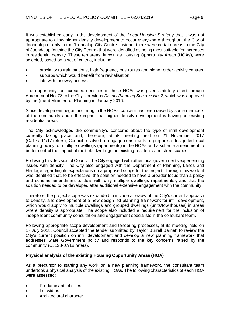It was established early in the development of the *Local Housing Strategy* that it was not appropriate to allow higher density development to occur everywhere throughout the City of Joondalup or only in the Joondalup City Centre. Instead, there were certain areas in the City of Joondalup (outside the City Centre) that were identified as being most suitable for increases in residential density. These ten areas, known as Housing Opportunity Areas (HOAs), were selected, based on a set of criteria, including:

- proximity to train stations, high frequency bus routes and higher order activity centres
- suburbs which would benefit from revitalisation
- lots with laneway access.

The opportunity for increased densities in these HOAs was given statutory effect through Amendment No. 73 to the City's previous *District Planning Scheme No. 2*, which was approved by the (then) Minister for Planning in January 2016.

Since development began occurring in the HOAs, concern has been raised by some members of the community about the impact that higher density development is having on existing residential areas.

The City acknowledges the community's concerns about the type of infill development currently taking place and, therefore, at its meeting held on 21 November 2017 (CJ177-11/17 refers), Council resolved to engage consultants to prepare a design-led local planning policy for multiple dwellings (apartments) in the HOAs and a scheme amendment to better control the impact of multiple dwellings on existing residents and streetscapes.

Following this decision of Council, the City engaged with other local governments experiencing issues with density. The City also engaged with the Department of Planning, Lands and Heritage regarding its expectations on a proposed scope for the project. Through this work, it was identified that, to be effective, the solution needed to have a broader focus than a policy and scheme amendment to deal with only multiple dwellings (apartments), and that the solution needed to be developed after additional extensive engagement with the community.

Therefore, the project scope was expanded to include a review of the City's current approach to density, and development of a new design-led planning framework for infill development, which would apply to multiple dwellings and grouped dwellings (units/townhouses) in areas where density is appropriate. The scope also included a requirement for the inclusion of independent community consultation and engagement specialists in the consultant team.

Following appropriate scope development and tendering processes, at its meeting held on 17 July 2018, Council accepted the tender submitted by Taylor Burrell Barnett to review the City's current position on infill development and develop a new planning framework that addresses State Government policy and responds to the key concerns raised by the community (CJ128-07/18 refers).

## **Physical analysis of the existing Housing Opportunity Areas (HOA)**

As a precursor to starting any work on a new planning framework, the consultant team undertook a physical analysis of the existing HOAs. The following characteristics of each HOA were assessed:

- Predominant lot sizes.
- Lot widths.
- Architectural character.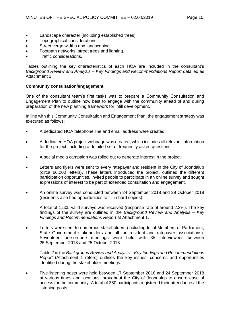- Landscape character (including established trees).
- Topographical considerations.
- Street verge widths and landscaping.
- Footpath networks, street trees and lighting.
- Traffic considerations.

Tables outlining the key characteristics of each HOA are included in the consultant's *Background Review and Analysis – Key Findings and Recommendations Report* detailed as Attachment 1.

## **Community consultation/engagement**

One of the consultant team's first tasks was to prepare a Community Consultation and Engagement Plan to outline how best to engage with the community ahead of and during preparation of the new planning framework for infill development.

In line with this Community Consultation and Engagement Plan, the engagement strategy was executed as follows:

- A dedicated HOA telephone line and email address were created.
- A dedicated HOA project webpage was created, which includes all relevant information for the project, including a detailed set of frequently asked questions.
- A social media campaign was rolled out to generate interest in the project.
- Letters and flyers were sent to every ratepayer and resident in the City of Joondalup (circa 66,000 letters). These letters introduced the project, outlined the different participation opportunities, invited people to participate in an online survey and sought expressions of interest to be part of extended consultation and engagement.
- An online survey was conducted between 24 September 2018 and 29 October 2018 (residents also had opportunities to fill in hard copies).

A total of 1,505 valid surveys was received (response rate of around 2.2%). The key findings of the survey are outlined in the *Background Review and Analysis – Key Findings and Recommendations Report* at Attachment 1.

Letters were sent to numerous stakeholders (including local Members of Parliament, State Government stakeholders and all the resident and ratepayer associations). Seventeen one-on-one meetings were held with 35 interviewees between 25 September 2018 and 25 October 2018.

Table 2 in the *Background Review and Analysis – Key Findings and Recommendations Report* (Attachment 1 refers) outlines the key issues, concerns and opportunities identified during the stakeholder meetings.

• Five listening posts were held between 17 September 2018 and 24 September 2018 at various times and locations throughout the City of Joondalup to ensure ease of access for the community. A total of 380 participants registered their attendance at the listening posts.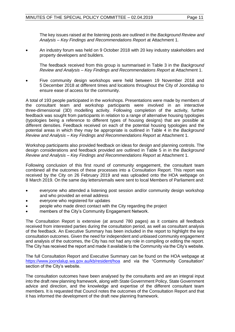The key issues raised at the listening posts are outlined in the *Background Review and Analysis – Key Findings and Recommendations Report* at Attachment 1.

• An industry forum was held on 9 October 2018 with 20 key industry stakeholders and property developers and builders.

The feedback received from this group is summarised in Table 3 in the *Background Review and Analysis – Key Findings and Recommendations Report* at Attachment 1.

• Five community design workshops were held between 19 November 2018 and 5 December 2018 at different times and locations throughout the City of Joondalup to ensure ease of access for the community.

A total of 193 people participated in the workshops. Presentations were made by members of the consultant team and workshop participants were involved in an interactive three-dimensional (3D) modelling activity. Following completion of the activity, further feedback was sought from participants in relation to a range of alternative housing typologies (typologies being a reference to different types of housing designs) that are possible at different densities. Feedback received on each of the potential housing typologies and the potential areas in which they may be appropriate is outlined in Table 4 in the *Background Review and Analysis – Key Findings and Recommendations Report* at Attachment 1.

Workshop participants also provided feedback on ideas for design and planning controls. The design considerations and feedback provided are outlined in Table 5 in in the *Background Review and Analysis – Key Findings and Recommendations Report* at Attachment 1.

Following conclusion of this first round of community engagement, the consultant team combined all the outcomes of these processes into a Consultation Report. This report was received by the City on 26 February 2019 and was uploaded onto the HOA webpage on 8 March 2019. On the same day letters/emails were sent to local Members of Parliament and:

- everyone who attended a listening post session and/or community design workshop and who provided an email address
- everyone who registered for updates
- people who made direct contact with the City regarding the project
- members of the City's Community Engagement Network.

The Consultation Report is extensive (at around 780 pages) as it contains all feedback received from interested parties during the consultation period, as well as consultant analysis of the feedback. An Executive Summary has been included in the report to highlight the key consultation outcomes. Given the need for independent and unbiased community engagement and analysis of the outcomes, the City has not had any role in compiling or editing the report. The City has received the report and made it available to the Community via the City's website.

The full Consultation Report and Executive Summary can be found on the HOA webpage at <https://www.joondalup.wa.gov.au/kb/resident/hoa> and via the "Community Consultation" section of the City's website.

The consultation outcomes have been analysed by the consultants and are an integral input into the draft new planning framework, along with State Government Policy, State Government advice and direction, and the knowledge and expertise of the different consultant team members. It is requested that Council notes the outcomes of the Consultation Report and that it has informed the development of the draft new planning framework.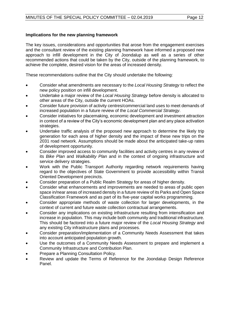## **Implications for the new planning framework**

The key issues, considerations and opportunities that arose from the engagement exercises and the consultant review of the existing planning framework have informed a proposed new approach to infill development in the City of Joondalup as well as a series of other recommended actions that could be taken by the City, outside of the planning framework, to achieve the complete, desired vision for the areas of increased density.

These recommendations outline that the City should undertake the following:

- Consider what amendments are necessary to the *Local Housing Strategy* to reflect the new policy position on infill development.
- Undertake a major review of the *Local Housing Strategy* before density is allocated to other areas of the City, outside the current HOAs.
- Consider future provision of activity centres/commercial land uses to meet demands of increased population in a future review of the *Local Commercial Strategy*.
- Consider initiatives for placemaking, economic development and investment attraction in context of a review of the City's economic development plan and any place activation strategies.
- Undertake traffic analysis of the proposed new approach to determine the likely trip generation for each area of higher density and the impact of these new trips on the 2031 road network. Assumptions should be made about the anticipated take-up rates of development opportunity.
- Consider improved access to community facilities and activity centres in any review of its *Bike Plan* and *Walkability Plan* and in the context of ongoing infrastructure and service delivery strategies.
- Work with the Public Transport Authority regarding network requirements having regard to the objectives of State Government to provide accessibility within Transit Oriented Development precincts.
- Consider preparation of a Public Realm Strategy for areas of higher density.
- Consider what enhancements and improvements are needed to areas of public open space in/near areas of increased density in a future review of its Parks and Open Space Classification Framework and as part of its five-year capital works programming.
- Consider appropriate methods of waste collection for larger developments, in the context of current and future waste collection contractual arrangements.
- Consider any implications on existing infrastructure resulting from intensification and increase in population. This may include both community and traditional infrastructure. This should be factored into a future major review of the *Local Housing Strategy* and any existing City infrastructure plans and processes.
- Consider preparation/implementation of a Community Needs Assessment that takes into account anticipated population growth.
- Use the outcomes of a Community Needs Assessment to prepare and implement a Community Infrastructure and Contribution Plan.
- Prepare a Planning Consultation Policy.
- Review and update the Terms of Reference for the Joondalup Design Reference Panel.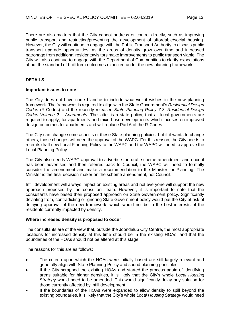There are also matters that the City cannot address or control directly, such as improving public transport and restricting/preventing the development of affordable/social housing. However, the City will continue to engage with the Public Transport Authority to discuss public transport upgrade opportunities, as the areas of density grow over time and increased patronage from additional residents/visitors make improvements to public transport viable. The City will also continue to engage with the Department of Communities to clarify expectations about the standard of built form outcomes expected under the new planning framework.

## **DETAILS**

#### **Important issues to note**

The City does not have carte blanche to include whatever it wishes in the new planning framework. The framework is required to align with the State Government's *Residential Design Codes* (R-Codes) and the recently released *State Planning Policy 7.3: Residential Design Codes Volume 2 – Apartments*. The latter is a state policy, that all local governments are required to apply, for apartments and mixed-use developments which focuses on improved design outcomes for apartments and will replace Part 6 of the R-Codes.

The City can change some aspects of these State planning policies, but if it wants to change others, those changes will need the approval of the WAPC. For this reason, the City needs to refer its draft new Local Planning Policy to the WAPC and the WAPC will need to approve the Local Planning Policy.

The City also needs WAPC approval to advertise the draft scheme amendment and once it has been advertised and then referred back to Council, the WAPC will need to formally consider the amendment and make a recommendation to the Minister for Planning. The Minister is the final decision-maker on the scheme amendment, not Council.

Infill development will always impact on existing areas and not everyone will support the new approach proposed by the consultant team. However, it is important to note that the consultants have based their proposed approach on State Government policy. Significantly deviating from, contradicting or ignoring State Government policy would put the City at risk of delaying approval of the new framework, which would not be in the best interests of the residents currently impacted by density.

#### **Where increased density is proposed to occur**

The consultants are of the view that, outside the Joondalup City Centre, the most appropriate locations for increased density at this time should be in the existing HOAs, and that the boundaries of the HOAs should not be altered at this stage.

The reasons for this are as follows:

- The criteria upon which the HOAs were initially based are still largely relevant and generally align with State Planning Policy and sound planning principles.
- If the City scrapped the existing HOAs and started the process again of identifying areas suitable for higher densities, it is likely that the City's whole *Local Housing Strategy* would need to be amended. This would significantly delay any solution for those currently affected by infill development.
- If the boundaries of the HOAs were expanded to allow density to spill beyond the existing boundaries, it is likely that the City's whole *Local Housing Strategy* would need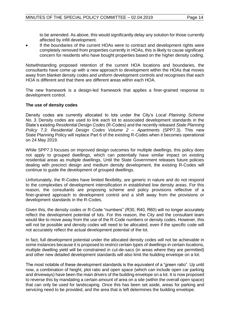to be amended. As above, this would significantly delay any solution for those currently affected by infill development.

If the boundaries of the current HOAs were to contract and development rights were completely removed from properties currently in HOAs, this is likely to cause significant concern for residents who have bought properties based on the higher density coding.

Notwithstanding proposed retention of the current HOA locations and boundaries, the consultants have come up with a new approach to development within the HOAs that moves away from blanket density codes and uniform development controls and recognises that each HOA is different and that there are different areas within each HOA.

The new framework is a design-led framework that applies a finer-grained response to development control.

## **The use of density codes**

Density codes are currently allocated to lots under the City's *Local Planning Scheme No. 3*. Density codes are used to link each lot to associated development standards in the State's existing *Residential Design Codes* (R-Codes) and the recently released *State Planning Policy 7.3: Residential Design Codes Volume 2 – Apartments* (SPP7.3). This new State Planning Policy will replace Part 6 of the existing R-Codes when it becomes operational on 24 May 2019.

While SPP7.3 focuses on improved design outcomes for multiple dwellings, this policy does not apply to grouped dwellings, which can potentially have similar impact on existing residential areas as multiple dwellings. Until the State Government releases future policies dealing with precinct design and medium density development, the existing R-Codes will continue to guide the development of grouped dwellings.

Unfortunately, the R-Codes have limited flexibility, are generic in nature and do not respond to the complexities of development intensification in established low density areas. For this reason, the consultants are proposing scheme and policy provisions reflective of a finer-grained approach to development control and a shift away from the provisions or development standards in the R-Codes.

Given this, the density codes or R-Code "numbers" (R30, R40, R60) will no longer accurately reflect the development potential of lots. For this reason, the City and the consultant team would like to move away from the use of the R-Code numbers or density codes. However, this will not be possible and density codes will need to be allocated, even if the specific code will not accurately reflect the actual development potential of the lot.

In fact, full development potential under the allocated density codes will not be achievable in some instances because it is proposed to restrict certain types of dwellings in certain locations, multiple dwelling yield will be constrained in cul-de-sacs (in areas where they are permitted) and other new detailed development standards will also limit the building envelope on a lot.

The most notable of these development standards is the equivalent of a "green ratio". Up until now, a combination of height, plot ratio and open space (which can include open car parking and driveways) have been the main drivers of the building envelope on a lot. It is now proposed to reverse this by mandating a certain amount of area on a site (within the overall open space) that can only be used for landscaping. Once this has been set aside, areas for parking and servicing need to be provided, and the area that is left determines the building envelope.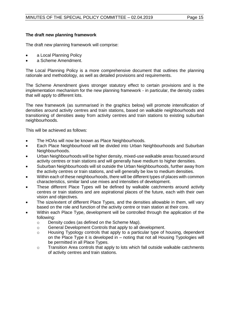## **The draft new planning framework**

The draft new planning framework will comprise:

- a Local Planning Policy
- a Scheme Amendment.

The Local Planning Policy is a more comprehensive document that outlines the planning rationale and methodology, as well as detailed provisions and requirements.

The Scheme Amendment gives stronger statutory effect to certain provisions and is the implementation mechanism for the new planning framework - in particular, the density codes that will apply to different lots.

The new framework (as summarised in the graphics below) will promote intensification of densities around activity centres and train stations, based on walkable neighbourhoods and transitioning of densities away from activity centres and train stations to existing suburban neighbourhoods.

This will be achieved as follows:

- The HOAs will now be known as Place Neighbourhoods.
- Each Place Neighbourhood will be divided into Urban Neighbourhoods and Suburban Neighbourhoods.
- Urban Neighbourhoods will be higher density, mixed-use walkable areas focused around activity centres or train stations and will generally have medium to higher densities.
- Suburban Neighbourhoods will sit outside the Urban Neighbourhoods, further away from the activity centres or train stations, and will generally be low to medium densities.
- Within each of these neighbourhoods, there will be different types of places with common characteristics, similar land use mixes and intensities of development.
- These different Place Types will be defined by walkable catchments around activity centres or train stations and are aspirational places of the future, each with their own vision and objectives.
- The size/extent of different Place Types, and the densities allowable in them, will vary based on the role and function of the activity centre or train station at their core.
- Within each Place Type, development will be controlled through the application of the following:
	- o Density codes (as defined on the Scheme Map).
	- o General Development Controls that apply to all development.
	- o Housing Typology controls that apply to a particular type of housing, dependent on the Place Type it is developed in – noting that not all Housing Typologies will be permitted in all Place Types.
	- o Transition Area controls that apply to lots which fall outside walkable catchments of activity centres and train stations.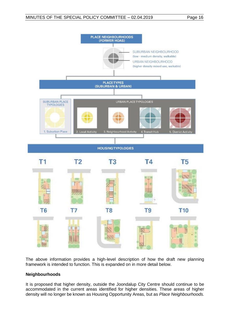

The above information provides a high-level description of how the draft new planning framework is intended to function. This is expanded on in more detail below.

## **Neighbourhoods**

It is proposed that higher density, outside the Joondalup City Centre should continue to be accommodated in the current areas identified for higher densities. These areas of higher density will no longer be known as Housing Opportunity Areas, but as *Place Neighbourhoods.*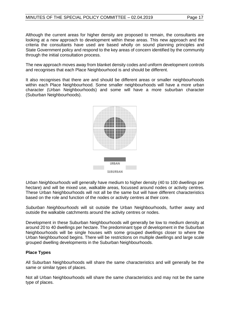Although the current areas for higher density are proposed to remain, the consultants are looking at a new approach to development within these areas. This new approach and the criteria the consultants have used are based wholly on sound planning principles and State Government policy and respond to the key areas of concern identified by the community through the initial consultation process.

The new approach moves away from blanket density codes and uniform development controls and recognises that each Place Neighbourhood is and should be different.

It also recognises that there are and should be different areas or smaller neighbourhoods within each Place Neighbourhood. Some smaller neighbourhoods will have a more urban character (Urban Neighbourhoods) and some will have a more suburban character (Suburban Neighbourhoods).



*Urban Neighbourhoods* will generally have medium to higher density (40 to 100 dwellings per hectare) and will be mixed use, walkable areas, focussed around nodes or activity centres. These Urban Neighbourhoods will not all be the same but will have different characteristics based on the role and function of the nodes or activity centres at their core.

*Suburban Neighbourhoods* will sit outside the Urban Neighbourhoods, further away and outside the walkable catchments around the activity centres or nodes.

Development in these Suburban Neighbourhoods will generally be low to medium density at around 20 to 40 dwellings per hectare. The predominant type of development in the Suburban Neighbourhoods will be single houses with some grouped dwellings closer to where the Urban Neighbourhood begins. There will be restrictions on multiple dwellings and large scale grouped dwelling developments in the Suburban Neighbourhoods.

## **Place Types**

All Suburban Neighbourhoods will share the same characteristics and will generally be the same or similar types of places.

Not all Urban Neighbourhoods will share the same characteristics and may not be the same type of places.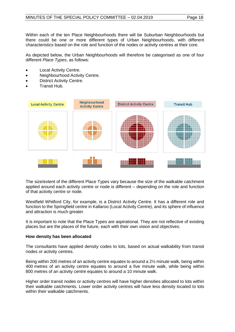Within each of the ten Place Neighbourhoods there will be Suburban Neighbourhoods but there could be one or more different types of Urban Neighbourhoods, with different characteristics based on the role and function of the nodes or activity centres at their core.

As depicted below, the Urban Neighbourhoods will therefore be categorised as one of four different *Place Types*, as follows:

- **Local Activity Centre.**
- Neighbourhood Activity Centre.
- **District Activity Centre.**
- Transit Hub.



The size/extent of the different Place Types vary because the size of the walkable catchment applied around each activity centre or node is different – depending on the role and function of that activity centre or node.

Westfield Whitford City, for example, is a District Activity Centre. It has a different role and function to the Springfield centre in Kallaroo (Local Activity Centre), and its sphere of influence and attraction is much greater.

It is important to note that the Place Types are aspirational. They are not reflective of existing places but are the places of the future, each with their own vision and objectives.

#### **How density has been allocated**

The consultants have applied density codes to lots, based on actual walkability from transit nodes or activity centres.

Being within 200 metres of an activity centre equates to around a 2½ minute walk, being within 400 metres of an activity centre equates to around a five minute walk, while being within 800 metres of an activity centre equates to around a 10 minute walk.

Higher order transit nodes or activity centres will have higher densities allocated to lots within their walkable catchments. Lower order activity centres will have less density located to lots within their walkable catchments.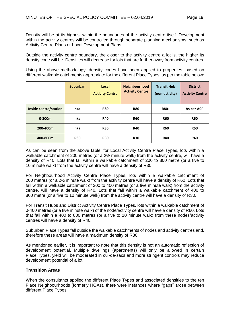Density will be at its highest within the boundaries of the activity centre itself. Development within the activity centres will be controlled through separate planning mechanisms, such as Activity Centre Plans or Local Development Plans.

Outside the activity centre boundary, the closer to the activity centre a lot is, the higher its density code will be. Densities will decrease for lots that are further away from activity centres.

Using the above methodology, density codes have been applied to properties, based on different walkable catchments appropriate for the different Place Types, as per the table below:

|                       | <b>Suburban</b> | Local<br><b>Activity Centre</b> | Neighbourhood<br><b>Activity Centre</b> | <b>Transit Hub</b><br>(non-activity) | <b>District</b><br><b>Activity Centre</b> |
|-----------------------|-----------------|---------------------------------|-----------------------------------------|--------------------------------------|-------------------------------------------|
| Inside centre/station | n/a             | <b>R80</b>                      | <b>R80</b>                              | R80+                                 | As per ACP                                |
| $0 - 200m$            | n/a             | <b>R40</b>                      | <b>R60</b>                              | <b>R60</b>                           | <b>R60</b>                                |
| 200-400m              | n/a             | <b>R30</b>                      | <b>R40</b>                              | <b>R60</b>                           | <b>R60</b>                                |
| 400-800m              | <b>R30</b>      | <b>R30</b>                      | <b>R30</b>                              | <b>R40</b>                           | <b>R40</b>                                |

As can be seen from the above table, for Local Activity Centre Place Types, lots within a walkable catchment of 200 metres (or a 2½ minute walk) from the activity centre, will have a density of R40. Lots that fall within a walkable catchment of 200 to 800 metre (or a five to 10 minute walk) from the activity centre will have a density of R30.

For Neighbourhood Activity Centre Place Types, lots within a walkable catchment of 200 metres (or a 2½ minute walk) from the activity centre will have a density of R60. Lots that fall within a walkable catchment of 200 to 400 metres (or a five minute walk) from the activity centre, will have a density of R40. Lots that fall within a walkable catchment of 400 to 800 metre (or a five to 10 minute walk) from the activity centre will have a density of R30.

For Transit Hubs and District Activity Centre Place Types, lots within a walkable catchment of 0-400 metres (or a five minute walk) of the node/activity centre will have a density of R60. Lots that fall within a 400 to 800 metres (or a five to 10 minute walk) from these nodes/activity centres will have a density of R40.

Suburban Place Types fall outside the walkable catchments of nodes and activity centres and, therefore these areas will have a maximum density of R30.

As mentioned earlier, it is important to note that this density is not an automatic reflection of development potential. Multiple dwellings (apartments) will only be allowed in certain Place Types, yield will be moderated in cul-de-sacs and more stringent controls may reduce development potential of a lot.

## **Transition Areas**

When the consultants applied the different Place Types and associated densities to the ten Place Neighbourhoods (formerly HOAs), there were instances where "gaps" arose between different Place Types.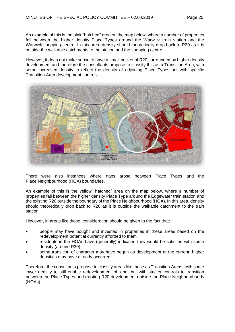An example of this is the pink "hatched" area on the map below, where a number of properties fall between the higher density Place Types around the Warwick train station and the Warwick shopping centre. In this area, density should theoretically drop back to R20 as it is outside the walkable catchments to the station and the shopping centre.

However, it does not make sense to have a small pocket of R20 surrounded by higher density development and therefore the consultants propose to classify this as a Transition Area, with some increased density to reflect the density of adjoining Place Types but with specific Transition Area development controls.



There were also instances where gaps arose between Place Types and the Place Neighbourhood (HOA) boundaries.

An example of this is the yellow "hatched" area on the map below, where a number of properties fall between the higher density Place Type around the Edgewater train station and the existing R20 outside the boundary of the Place Neighbourhood (HOA). In this area, density should theoretically drop back to R20 as it is outside the walkable catchment to the train station.

However, in areas like these, consideration should be given to the fact that:

- people may have bought and invested in properties in these areas based on the redevelopment potential currently afforded to them
- residents in the HOAs have (generally) indicated they would be satisfied with some density (around R30)
- some transition of character may have begun as development at the current, higher densities may have already occurred.

Therefore, the consultants propose to classify areas like these as Transition Areas, with some lower density to still enable redevelopment of land, but with stricter controls to transition between the Place Types and existing R20 development outside the Place Neighbourhoods (HOAs).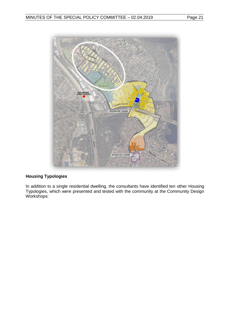

## **Housing Typologies**

In addition to a single residential dwelling, the consultants have identified ten other Housing Typologies, which were presented and tested with the community at the Community Design Workshops: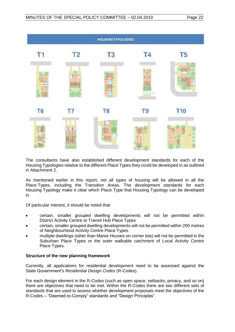|                |                | <b>HOUSING TYPOLOGIES</b> |                |                |
|----------------|----------------|---------------------------|----------------|----------------|
| T1             | T <sub>2</sub> | T <sub>3</sub>            | <b>T4</b>      | T <sub>5</sub> |
|                |                |                           |                |                |
| T <sub>6</sub> | T7             | T <sub>8</sub>            | T <sub>9</sub> | <b>T10</b>     |
|                |                |                           |                |                |

The consultants have also established different development standards for each of the Housing Typologies relative to the different Place Types they could be developed in as outlined in Attachment 2.

As mentioned earlier in this report, not all types of housing will be allowed in all the Place Types, including the Transition Areas. The development standards for each Housing Typology make it clear which Place Type that Housing Typology can be developed in.

Of particular interest, it should be noted that:

- certain, smaller grouped dwelling developments will not be permitted within District Activity Centre or Transit Hub Place Types
- certain, smaller grouped dwelling developments will not be permitted within 200 metres of Neighbourhood Activity Centre Place Types
- multiple dwellings (other than Manor Houses on corner lots) will not be permitted in the Suburban Place Types or the outer walkable catchment of Local Activity Centre Place Types.

## **Structure of the new planning framework**

Currently, all applications for residential development need to be assessed against the State Government's *Residential Design Codes* (R-Codes).

For each design element in the R-Codes (such as open space, setbacks, privacy, and so on) there are objectives that need to be met. Within the R-Codes there are two different sets of standards that are used to assess whether development proposals meet the objectives of the R-Codes – "Deemed-to-Comply" standards and "Design Principles".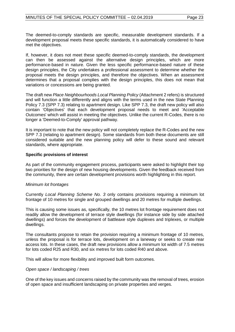The deemed-to-comply standards are specific, measurable development standards. If a development proposal meets these specific standards, it is automatically considered to have met the objectives.

If, however, it does not meet these specific deemed-to-comply standards, the development can then be assessed against the alternative design principles, which are more performance-based in nature. Given the less specific performance-based nature of these design principles, the City undertakes a professional assessment to determine whether the proposal meets the design principles, and therefore the objectives. When an assessment determines that a proposal complies with the design principles, this does not mean that variations or concessions are being granted.

The draft new *Place Neighbourhoods Local Planning Policy* (Attachment 2 refers) is structured and will function a little differently and aligns with the terms used in the new State Planning Policy 7.3 (SPP 7.3) relating to apartment design. Like SPP 7.3, the draft new policy will also contain 'Objectives' that each development proposal needs to meet and 'Acceptable Outcomes' which will assist in meeting the objectives. Unlike the current R-Codes, there is no longer a 'Deemed-to-Comply' approval pathway.

It is important to note that the new policy will not completely replace the R-Codes and the new SPP 7.3 (relating to apartment design). Some standards from both these documents are still considered suitable and the new planning policy will defer to these sound and relevant standards, where appropriate.

#### **Specific provisions of interest**

As part of the community engagement process, participants were asked to highlight their top two priorities for the design of new housing developments. Given the feedback received from the community, there are certain development provisions worth highlighting in this report.

#### *Minimum lot frontages*

Currently *Local Planning Scheme No. 3* only contains provisions requiring a minimum lot frontage of 10 metres for single and grouped dwellings and 20 metres for multiple dwellings.

This is causing some issues as, specifically, the 10 metres lot frontage requirement does not readily allow the development of terrace style dwellings (for instance side by side attached dwellings) and forces the development of battleaxe style duplexes and triplexes, or multiple dwellings.

The consultants propose to retain the provision requiring a minimum frontage of 10 metres, unless the proposal is for terrace lots, development on a laneway or seeks to create rear access lots. In these cases, the draft new provisions allow a minimum lot width of 7.5 metres for lots coded R25 and R30, and six metres for lots coded R40 and above.

This will allow for more flexibility and improved built form outcomes.

## *Open space / landscaping / trees*

One of the key issues and concerns raised by the community was the removal of trees, erosion of open space and insufficient landscaping on private properties and verges.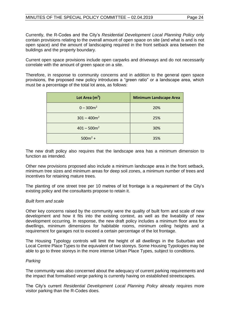Currently, the R-Codes and the City's *Residential Development Local Planning Policy* only contain provisions relating to the overall amount of open space on site (and what is and is not open space) and the amount of landscaping required in the front setback area between the buildings and the property boundary.

Current open space provisions include open carparks and driveways and do not necessarily correlate with the amount of green space on a site.

Therefore, in response to community concerns and in addition to the general open space provisions, the proposed new policy introduces a "green ratio" or a landscape area, which must be a percentage of the total lot area, as follows:

| Lot Area $(m2)$ | <b>Minimum Landscape Area</b> |
|-----------------|-------------------------------|
| $0 - 300m^2$    | 20%                           |
| $301 - 400m^2$  | 25%                           |
| $401 - 500m2$   | 30%                           |
| $500m^2 +$      | 35%                           |

The new draft policy also requires that the landscape area has a minimum dimension to function as intended.

Other new provisions proposed also include a minimum landscape area in the front setback, minimum tree sizes and minimum areas for deep soil zones, a minimum number of trees and incentives for retaining mature trees.

The planting of one street tree per 10 metres of lot frontage is a requirement of the City's existing policy and the consultants propose to retain it.

## *Built form and scale*

Other key concerns raised by the community were the quality of built form and scale of new development and how it fits into the existing context, as well as the liveability of new development occurring. In response, the new draft policy includes a minimum floor area for dwellings, minimum dimensions for habitable rooms, minimum ceiling heights and a requirement for garages not to exceed a certain percentage of the lot frontage.

The Housing Typology controls will limit the height of all dwellings in the Suburban and Local Centre Place Types to the equivalent of two storeys. Some Housing Typologies may be able to go to three storeys in the more intense Urban Place Types, subject to conditions.

#### *Parking*

The community was also concerned about the adequacy of current parking requirements and the impact that formalised verge parking is currently having on established streetscapes.

The City's current *Residential Development Local Planning Policy* already requires more visitor parking than the R-Codes does.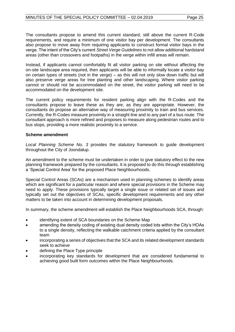The consultants propose to amend this current standard, still above the current R-Code requirements, and require a minimum of one visitor bay per development. The consultants also propose to move away from requiring applicants to construct formal visitor bays in the verge. The intent of the City's current *Street Verge Guidelines* to not allow additional hardstand areas (other than crossovers and footpaths) in the verge within infill areas will remain.

Instead, if applicants cannot comfortably fit all visitor parking on site without affecting the on-site landscape area required, then applicants will be able to informally locate a visitor bay on certain types of streets (not in the verge) – as this will not only slow down traffic but will also preserve verge areas for tree planting and other landscaping. Where visitor parking cannot or should not be accommodated on the street, the visitor parking will need to be accommodated on the development site.

The current policy requirements for resident parking align with the R-Codes and the consultants propose to leave these as they are, as they are appropriate. However, the consultants do propose an alternative way of measuring proximity to train and bus services. Currently, the R-Codes measure proximity in a straight line and to any part of a bus route. The consultant approach is more refined and proposes to measure along pedestrian routes and to bus stops, providing a more realistic proximity to a service.

#### **Scheme amendment**

*Local Planning Scheme No. 3* provides the statutory framework to guide development throughout the City of Joondalup.

An amendment to the scheme must be undertaken in order to give statutory effect to the new planning framework prepared by the consultants. It is proposed to do this through establishing a 'Special Control Area' for the proposed Place Neighbourhoods.

Special Control Areas (SCAs) are a mechanism used in planning schemes to identify areas which are significant for a particular reason and where special provisions in the Scheme may need to apply. These provisions typically target a single issue or related set of issues and typically set out the objectives of SCAs, specific development requirements and any other matters to be taken into account in determining development proposals.

In summary, the scheme amendment will establish the Place Neighbourhoods SCA, through:

- identifying extent of SCA boundaries on the Scheme Map
- amending the density coding of existing dual density coded lots within the City's HOAs to a single density, reflecting the walkable catchment criteria applied by the consultant team
- incorporating a series of objectives that the SCA and its related development standards seek to achieve
- defining the Place Type principle
- incorporating key standards for development that are considered fundamental to achieving good built form outcomes within the Place Neighbourhoods.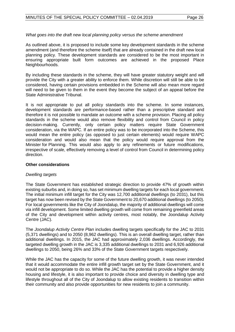## *What goes into the draft new local planning policy versus the scheme amendment*

As outlined above, it is proposed to include some key development standards in the scheme amendment (and therefore the scheme itself) that are already contained in the draft new local planning policy. These development standards are considered to be the most important in ensuring appropriate built form outcomes are achieved in the proposed Place Neighbourhoods.

By including these standards in the scheme, they will have greater statutory weight and will provide the City with a greater ability to enforce them. While discretion will still be able to be considered, having certain provisions embedded in the Scheme will also mean more regard will need to be given to them in the event they become the subject of an appeal before the State Administrative Tribunal.

It is not appropriate to put all policy standards into the scheme. In some instances, development standards are performance-based rather than a prescriptive standard and therefore it is not possible to mandate an outcome with a scheme provision. Placing all policy standards in the scheme would also remove flexibility and control from Council in policy decision-making. Currently, only certain policy matters require State Government consideration, via the WAPC. If an entire policy was to be incorporated into the Scheme, this would mean the entire policy (as opposed to just certain elements) would require WAPC consideration and would also mean that the policy would require approval from the Minister for Planning. This would also apply to any refinements or future modifications, irrespective of scale, effectively removing a level of control from Council in determining policy direction.

## **Other considerations**

## *Dwelling targets*

The State Government has established strategic direction to provide 47% of growth within existing suburbs and, in doing so, has set minimum dwelling targets for each local government. The initial minimum infill target for the City was 12,700 additional dwellings (to 2031), but this target has now been revised by the State Government to 20,670 additional dwellings (to 2050). For local governments like the City of Joondalup, the majority of additional dwellings will come via infill development. Some limited dwelling growth will come from remaining greenfield areas of the City and development within activity centres, most notably, the Joondalup Activity Centre (JAC).

The *Joondalup Activity Centre Plan* includes dwelling targets specifically for the JAC to 2031 (5,371 dwellings) and to 2050 (8,962 dwellings). This is an overall dwelling target, rather than additional dwellings. In 2015, the JAC had approximately 2,036 dwellings. Accordingly, the targeted dwelling growth in the JAC is 3,335 additional dwellings to 2031 and 6,926 additional dwellings to 2050, being 26% and 33% of the State Government targets respectively.

While the JAC has the capacity for some of the future dwelling growth, it was never intended that it would accommodate the entire infill growth target set by the State Government, and it would not be appropriate to do so. While the JAC has the potential to provide a higher density housing and lifestyle, it is also important to provide choice and diversity in dwelling type and lifestyle throughout all of the City of Joondalup to allow existing residents to transition within their community and also provide opportunities for new residents to join a community.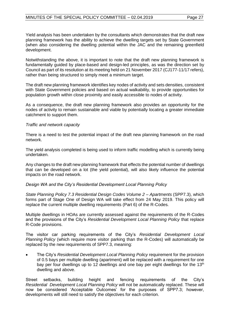Yield analysis has been undertaken by the consultants which demonstrates that the draft new planning framework has the ability to achieve the dwelling targets set by State Government (when also considering the dwelling potential within the JAC and the remaining greenfield development.

Notwithstanding the above, it is important to note that the draft new planning framework is fundamentally guided by place-based and design-led principles, as was the direction set by Council as part of its resolution at its meeting held on 21 November 2017 (CJ177-11/17 refers), rather than being structured to simply meet a minimum target.

The draft new planning framework identifies key nodes of activity and sets densities, consistent with State Government policies and based on actual walkability, to provide opportunities for population growth within close proximity and easily accessible to nodes of activity.

As a consequence, the draft new planning framework also provides an opportunity for the nodes of activity to remain sustainable and viable by potentially locating a greater immediate catchment to support them.

#### *Traffic and network capacity*

There is a need to test the potential impact of the draft new planning framework on the road network.

The yield analysis completed is being used to inform traffic modelling which is currently being undertaken.

Any changes to the draft new planning framework that effects the potential number of dwellings that can be developed on a lot (the yield potential), will also likely influence the potential impacts on the road network.

## *Design WA and the City's Residential Development Local Planning Policy*

*State Planning Policy 7.3 Residential Design Codes Volume 2 – Apartments* (SPP7.3), which forms part of Stage One of Design WA will take effect from 24 May 2019. This policy will replace the current multiple dwelling requirements (Part 6) of the R-Codes.

Multiple dwellings in HOAs are currently assessed against the requirements of the R-Codes and the provisions of the City's *Residential Development Local Planning Policy* that replace R-Code provisions.

The visitor car parking requirements of the City's *Residential Development Local Planning Policy* (which require more visitor parking than the R-Codes) will automatically be replaced by the new requirements of SPP7.3, meaning:

• The City's *Residential Development Local Planning Policy* requirement for the provision of 0.5 bays per multiple dwelling (apartment) will be replaced with a requirement for one bay per four dwellings up to 12 dwellings and one bay per eight dwellings for the 13<sup>th</sup> dwelling and above.

Street setbacks, building height and fencing requirements of the City's *Residential Development Local Planning Policy* will not be automatically replaced. These will now be considered 'Acceptable Outcomes' for the purposes of SPP7.3; however, developments will still need to satisfy the objectives for each criterion.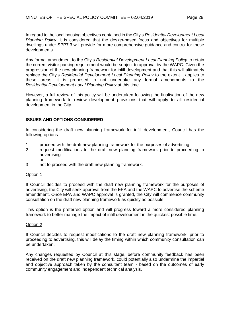In regard to the local housing objectives contained in the City's *Residential Development Local Planning Policy*, it is considered that the design-based focus and objectives for multiple dwellings under SPP7.3 will provide for more comprehensive guidance and control for these developments.

Any formal amendment to the City's *Residential Development Local Planning Policy* to retain the current visitor parking requirement would be subject to approval by the WAPC. Given the progression of the new planning framework for infill development and that this will ultimately replace the City's *Residential Development Local Planning Policy* to the extent it applies to these areas, it is proposed to not undertake any formal amendments to the *Residential Development Local Planning Policy* at this time.

However, a full review of this policy will be undertaken following the finalisation of the new planning framework to review development provisions that will apply to all residential development in the City.

## **ISSUES AND OPTIONS CONSIDERED**

In considering the draft new planning framework for infill development, Council has the following options:

- 1 proceed with the draft new planning framework for the purposes of advertising<br>2 prequest modifications to the draft new planning framework prior to procee
- 2 request modifications to the draft new planning framework prior to proceeding to advertising
	- or
- 3 not to proceed with the draft new planning framework.

## Option 1

If Council decides to proceed with the draft new planning framework for the purposes of advertising, the City will seek approval from the EPA and the WAPC to advertise the scheme amendment. Once EPA and WAPC approval is granted, the City will commence community consultation on the draft new planning framework as quickly as possible.

This option is the preferred option and will progress toward a more considered planning framework to better manage the impact of infill development in the quickest possible time.

#### Option 2

If Council decides to request modifications to the draft new planning framework, prior to proceeding to advertising, this will delay the timing within which community consultation can be undertaken.

Any changes requested by Council at this stage, before community feedback has been received on the draft new planning framework, could potentially also undermine the impartial and objective approach taken by the consultant team - based on the outcomes of early community engagement and independent technical analysis.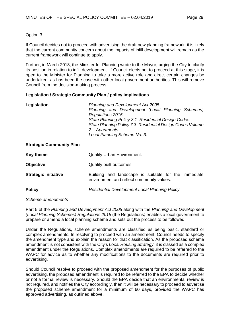## Option 3

If Council decides not to proceed with advertising the draft new planning framework, it is likely that the current community concern about the impacts of infill development will remain as the current framework will continue to apply.

Further, in March 2018, the Minister for Planning wrote to the Mayor, urging the City to clarify its position in relation to infill development. If Council elects not to proceed at this stage, it is open to the Minister for Planning to take a more active role and direct certain changes be undertaken, as has been the case with other local government authorities. This will remove Council from the decision-making process.

## **Legislation / Strategic Community Plan / policy implications**

| Legislation | Planning and Development Act 2005.                         |
|-------------|------------------------------------------------------------|
|             | Planning and Development (Local Planning Schemes)          |
|             | Regulations 2015.                                          |
|             | State Planning Policy 3.1: Residential Design Codes.       |
|             | State Planning Policy 7.3: Residential Design Codes Volume |
|             | 2 - Apartments.                                            |
|             | Local Planning Scheme No. 3.                               |
|             |                                                            |

#### **Strategic Community Plan**

| <b>Key theme</b>            | <b>Quality Urban Environment.</b>                                                                 |
|-----------------------------|---------------------------------------------------------------------------------------------------|
| <b>Objective</b>            | Quality built outcomes.                                                                           |
| <b>Strategic initiative</b> | Building and landscape is suitable for the immediate<br>environment and reflect community values. |
| <b>Policy</b>               | Residential Development Local Planning Policy.                                                    |

*Scheme amendments*

Part 5 of the *Planning and Development Act 2005* along with the *Planning and Development (Local Planning Schemes) Regulations 2015* (the Regulations*)* enables a local government to prepare or amend a local planning scheme and sets out the process to be followed.

Under the Regulations, scheme amendments are classified as being basic, standard or complex amendments. In resolving to proceed with an amendment, Council needs to specify the amendment type and explain the reason for that classification. As the proposed scheme amendment is not consistent with the City's *Local Housing Strategy*, it is classed as a complex amendment under the Regulations. Complex amendments are required to be referred to the WAPC for advice as to whether any modifications to the documents are required prior to advertising.

Should Council resolve to proceed with the proposed amendment for the purposes of public advertising, the proposed amendment is required to be referred to the EPA to decide whether or not a formal review is necessary. Should the EPA decide that an environmental review is not required, and notifies the City accordingly, then it will be necessary to proceed to advertise the proposed scheme amendment for a minimum of 60 days, provided the WAPC has approved advertising, as outlined above.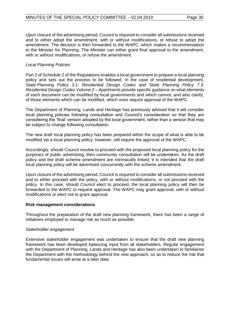Upon closure of the advertising period, Council is required to consider all submissions received and to either adopt the amendment, with or without modifications, or refuse to adopt the amendment. The decision is then forwarded to the WAPC, which makes a recommendation to the Minister for Planning. The Minister can either grant final approval to the amendment, with or without modifications, or refuse the amendment.

## *Local Planning Policies*

Part 2 of Schedule 2 of the Regulations enables a local government to prepare a local planning policy and sets out the process to be followed. In the case of residential development, *State Planning Policy 3.1: Residential Design Codes* and *State Planning Policy 7.3: Residential Design Codes Volume 2 – Apartments* provide specific guidance on what elements of each document can be modified by local governments and which cannot, and also clarify, of those elements which can be modified, which ones require approval of the WAPC.

The Department of Planning, Lands and Heritage has previously advised that it will consider local planning policies following consultation and Council's consideration so that they are considering the 'final' version adopted by the local government, rather than a version that may be subject to change following consultation.

The new draft local planning policy has been prepared within the scope of what is able to be modified via a local planning policy; however, will require the approval of the WAPC.

Accordingly, should Council resolve to proceed with the proposed local planning policy for the purposes of public advertising, then community consultation will be undertaken. As the draft policy and the draft scheme amendment are intrinsically linked, it is intended that the draft local planning policy will be advertised concurrently with the scheme amendment.

Upon closure of the advertising period, Council is required to consider all submissions received and to either proceed with the policy, with or without modifications, or not proceed with the policy. In this case, should Council elect to proceed, the local planning policy will then be forwarded to the WAPC to request approval. The WAPC may grant approval, with or without modifications or elect not to grant approval.

#### **Risk management considerations**

Throughout the preparation of the draft new planning framework, there has been a range of initiatives employed to manage risk as much as possible.

#### *Stakeholder engagement*

Extensive stakeholder engagement was undertaken to ensure that the draft new planning framework has been developed balancing input from all stakeholders. Regular engagement with the Department of Planning, Lands and Heritage has also been undertaken to familiarise the Department with the methodology behind the new approach, so as to reduce the risk that fundamental issues will arise at a later date.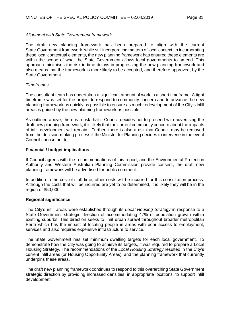## *Alignment with State Government framework*

The draft new planning framework has been prepared to align with the current State Government framework, while still incorporating matters of local context. In incorporating these local contextual elements, the new planning framework has ensured these elements are within the scope of what the State Government allows local governments to amend. This approach minimises the risk in time delays in progressing the new planning framework and also means that the framework is more likely to be accepted, and therefore approved, by the State Government.

## *Timeframes*

The consultant team has undertaken a significant amount of work in a short timeframe. A tight timeframe was set for the project to respond to community concern and to advance the new planning framework as quickly as possible to ensure as much redevelopment of the City's infill areas is guided by the new planning framework as possible.

As outlined above, there is a risk that if Council decides not to proceed with advertising the draft new planning framework, it is likely that the current community concern about the impacts of infill development will remain. Further, there is also a risk that Council may be removed from the decision-making process if the Minister for Planning decides to intervene in the event Council choose not to.

## **Financial / budget implications**

If Council agrees with the recommendations of this report, and the Environmental Protection Authority and Western Australian Planning Commission provide consent, the draft new planning framework will be advertised for public comment.

In addition to the cost of staff time, other costs will be incurred for this consultation process. Although the costs that will be incurred are yet to be determined, it is likely they will be in the region of \$50,000.

## **Regional significance**

The City's infill areas were established through its *Local Housing Strategy* in response to a State Government strategic direction of accommodating 47% of population growth within existing suburbs. This direction seeks to limit urban sprawl throughout broader metropolitan Perth which has the impact of locating people in areas with poor access to employment, services and also requires expensive infrastructure to service.

The State Government has set minimum dwelling targets for each local government. To demonstrate how the City was going to achieve its targets, it was required to prepare a Local Housing Strategy. The recommendations of the *Local Housing Strategy* resulted in the City's current infill areas (or Housing Opportunity Areas), and the planning framework that currently underpins these areas.

The draft new planning framework continues to respond to this overarching State Government strategic direction by providing increased densities, in appropriate locations, to support infill development.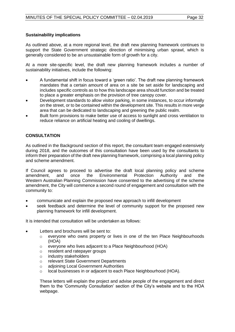## **Sustainability implications**

As outlined above, at a more regional level, the draft new planning framework continues to support the State Government strategic direction of minimising urban sprawl, which is generally considered to be an unsustainable form of growth for a city.

At a more site-specific level, the draft new planning framework includes a number of sustainability initiatives, include the following:

- A fundamental shift in focus toward a 'green ratio'. The draft new planning framework mandates that a certain amount of area on a site be set aside for landscaping and includes specific controls as to how this landscape area should function and be treated to place a greater emphasis on the provision of tree canopy cover.
- Development standards to allow visitor parking, in some instances, to occur informally on the street, or to be contained within the development site. This results in more verge area that can be dedicated to landscaping and greening the public realm.
- Built form provisions to make better use of access to sunlight and cross ventilation to reduce reliance on artificial heating and cooling of dwellings.

## **CONSULTATION**

As outlined in the Background section of this report, the consultant team engaged extensively during 2018, and the outcomes of this consultation have been used by the consultants to inform their preparation of the draft new planning framework, comprising a local planning policy and scheme amendment.

If Council agrees to proceed to advertise the draft local planning policy and scheme<br>amendment, and once the Environmental Protection Authority and the amendment, and once the Environmental Protection Authority and the Western Australian Planning Commission have consented to the advertising of the scheme amendment, the City will commence a second round of engagement and consultation with the community to:

- communicate and explain the proposed new approach to infill development
- seek feedback and determine the level of community support for the proposed new planning framework for infill development.

It is intended that consultation will be undertaken as follows:

- Letters and brochures will be sent to:
	- o everyone who owns property or lives in one of the ten Place Neighbourhoods (HOA)
	- o everyone who lives adjacent to a Place Neighbourhood (HOA)
	- o resident and ratepayer groups
	- o industry stakeholders
	- o relevant State Government Departments
	- o adjoining Local Government Authorities
	- o local businesses in or adjacent to each Place Neighbourhood (HOA).

These letters will explain the project and advise people of the engagement and direct them to the 'Community Consultation' section of the City's website and to the HOA webpage.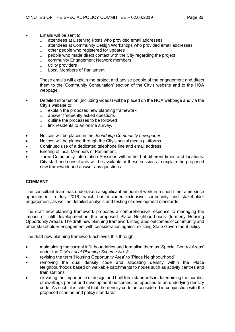- Emails will be sent to:
	- o attendees at Listening Posts who provided email addresses
	- o attendees at Community Design Workshops who provided email addresses
	- o other people who registered for updates
	- $\circ$  people who made direct contact with the City regarding the project
	- o community Engagement Network members
	- o utility providers
	- o Local Members of Parliament.

These emails will explain the project and advise people of the engagement and direct them to the 'Community Consultation' section of the City's website and to the HOA webpage.

- Detailed information (including videos) will be placed on the HOA webpage and via the City's website to:
	- $\circ$  explain the proposed new planning framework
	- o answer frequently asked questions
	- o outline the processes to be followed
	- o link residents to an online survey.
- Notices will be placed in the *Joondalup Community newspaper*.
- Notices will be placed through the City's social media platforms.
- Continued use of a dedicated telephone line and email address.
- Briefing of local Members of Parliament.
- Three Community Information Sessions will be held at different times and locations. City staff and consultants will be available at these sessions to explain the proposed new framework and answer any questions.

## **COMMENT**

The consultant team has undertaken a significant amount of work in a short timeframe since appointment in July 2018, which has included extensive community and stakeholder engagement, as well as detailed analysis and testing of development standards.

The draft new planning framework proposes a comprehensive response to managing the impact of infill development in the proposed Place Neighbourhoods (formerly Housing Opportunity Areas). The draft new planning framework integrates outcomes of community and other stakeholder engagement with consideration against existing State Government policy.

The draft new planning framework achieves this through:

- maintaining the current infill boundaries and formalise them as 'Special Control Areas' under the City's *Local Planning Scheme No. 3*
- revising the term 'Housing Opportunity Area' to 'Place Neighbourhood'
- removing the dual density code and allocating density within the Place Neighbourhoods based on walkable catchments to nodes such as activity centres and train stations
- elevating the importance of design and built form standards in determining the number of dwellings per lot and development outcomes, as opposed to an underlying density code. As such, it is critical that the density code be considered in conjunction with the proposed scheme and policy standards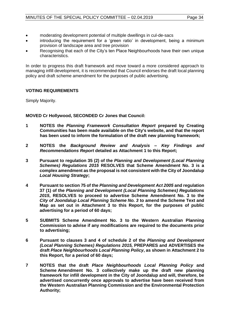- moderating development potential of multiple dwellings in cul-de-sacs
- introducing the requirement for a 'green ratio' in development, being a minimum provision of landscape area and tree provision
- Recognising that each of the City's ten Place Neighbourhoods have their own unique characteristics.

In order to progress this draft framework and move toward a more considered approach to managing infill development, it is recommended that Council endorses the draft local planning policy and draft scheme amendment for the purposes of public advertising.

## **VOTING REQUIREMENTS**

Simply Majority.

**MOVED Cr Hollywood, SECONDED Cr Jones that Council:**

- **1 NOTES the** *Planning Framework Consultation Report* **prepared by Creating Communities has been made available on the City's website, and that the report has been used to inform the formulation of the draft new planning framework;**
- **2 NOTES the** *Background Review and Analysis – Key Findings and Recommendations Report* **detailed as Attachment 1 to this Report;**
- **3 Pursuant to regulation 35 (2) of the** *Planning and Development (Local Planning Schemes) Regulations 2015* **RESOLVES that Scheme Amendment No. 3 is a complex amendment as the proposal is not consistent with the City of Joondalup**  *Local Housing Strategy***;**
- **4 Pursuant to section 75 of the** *Planning and Development Act 2005* **and regulation 37 (1) of the** *Planning and Development (Local Planning Schemes) Regulations 2015***, RESOLVES to proceed to advertise Scheme Amendment No. 3 to the**  *City of Joondalup Local Planning Scheme No. 3* **to amend the Scheme Text and Map as set out in Attachment 3 to this Report, for the purposes of public advertising for a period of 60 days;**
- **5 SUBMITS Scheme Amendment No. 3 to the Western Australian Planning Commission to advise if any modifications are required to the documents prior to advertising;**
- **6 Pursuant to clauses 3 and 4 of schedule 2 of the** *Planning and Development (Local Planning Schemes) Regulations 2015,* **PREPARES and ADVERTISES the draft** *Place Neighbourhoods Local Planning Policy***, as shown in Attachment 2 to this Report, for a period of 60 days;**
- **7 NOTES that the draft** *Place Neighbourhoods Local Planning Policy* **and Scheme Amendment No. 3 collectively make up the draft new planning framework for infill development in the City of Joondalup and will, therefore, be advertised concurrently once approvals to advertise have been received from the Western Australian Planning Commission and the Environmental Protection Authority;**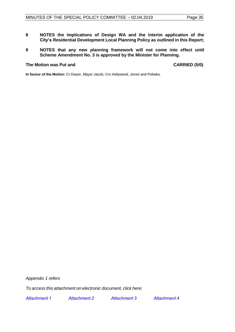- **8 NOTES the implications of Design WA and the interim application of the City's Residential Development Local Planning Policy as outlined in this Report;**
- **9 NOTES that any new planning framework will not come into effect until Scheme Amendment No. 3 is approved by the Minister for Planning.**

## **The Motion was Put and CARRIED (5/0)**

**In favour of the Motion:** Cr Dwyer, Mayor Jacob, Crs Hollywood, Jones and Poliwka.

*Appendix 1 refers* 

*To access this attachment on electronic document, click here:* 

*[Attachment 1](http://www.joondalup.wa.gov.au/files/committees/POLI/2019/ATTACHMENT1reduced.pdf) [Attachment 2](http://www.joondalup.wa.gov.au/files/committees/POLI/2019/ATTACHMENT2reduced.pdf) [Attachment 3](http://www.joondalup.wa.gov.au/files/committees/POLI/2019/ATTACHMENT3.pdf) [Attachment 4](http://www.joondalup.wa.gov.au/files/committees/POLI/2019/ATTACHMENT4.pdf)*